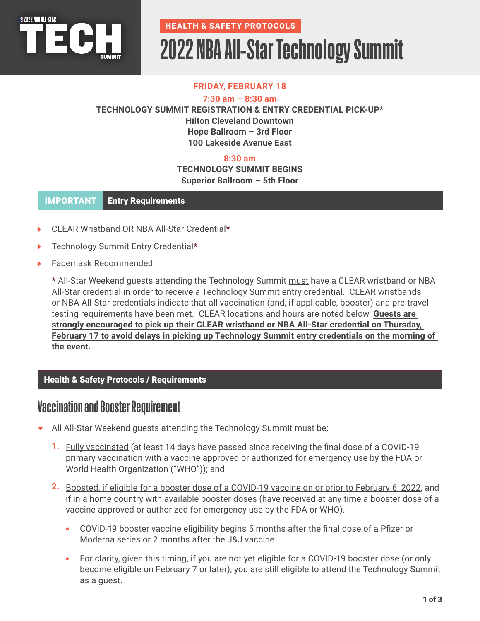

# **2022 NBA All-Star Technology Summit**

## **FRIDAY, FEBRUARY 18**

**7:30 am – 8:30 am**

**TECHNOLOGY SUMMIT REGISTRATION & ENTRY CREDENTIAL PICK-UP\* Hilton Cleveland Downtown Hope Ballroom – 3rd Floor 100 Lakeside Avenue East**

## **8:30 am**

### **TECHNOLOGY SUMMIT BEGINS Superior Ballroom – 5th Floor**

#### IMPORTANT Entry Requirements Entry Requirements

- CLEAR Wristband OR NBA All-Star Credential\*
- Technology Summit Entry Credential\*
- Facemask Recommended

\* All-Star Weekend guests attending the Technology Summit must have a CLEAR wristband or NBA All-Star credential in order to receive a Technology Summit entry credential. CLEAR wristbands or NBA All-Star credentials indicate that all vaccination (and, if applicable, booster) and pre-travel testing requirements have been met. CLEAR locations and hours are noted below. **Guests are strongly encouraged to pick up their CLEAR wristband or NBA All-Star credential on Thursday, February 17 to avoid delays in picking up Technology Summit entry credentials on the morning of the event.**

### **Health & Safety Protocols / Requirements**

## **Vaccination and Booster Requirement**

- All All-Star Weekend guests attending the Technology Summit must be:
	- **1.** Fully vaccinated (at least 14 days have passed since receiving the final dose of a COVID-19 primary vaccination with a vaccine approved or authorized for emergency use by the FDA or World Health Organization ("WHO")); and
	- 2. Boosted, if eligible for a booster dose of a COVID-19 vaccine on or prior to February 6, 2022, and if in a home country with available booster doses (have received at any time a booster dose of a vaccine approved or authorized for emergency use by the FDA or WHO).
		- COVID-19 booster vaccine eligibility begins 5 months after the final dose of a Pfizer or Moderna series or 2 months after the J&J vaccine.
		- For clarity, given this timing, if you are not yet eligible for a COVID-19 booster dose (or only become eligible on February 7 or later), you are still eligible to attend the Technology Summit as a guest.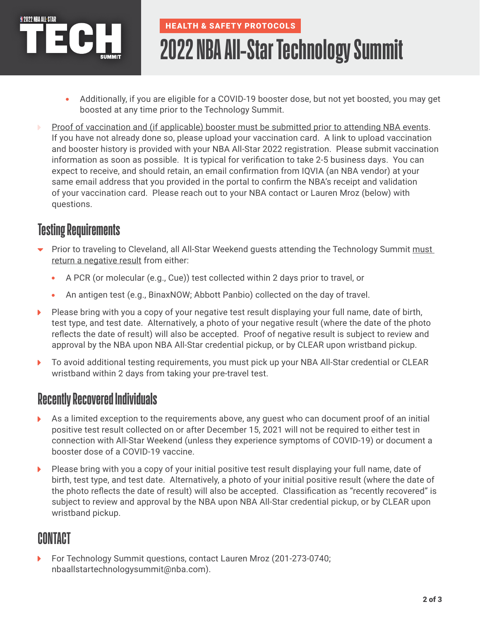

# **2022 NBA All-Star Technology Summit**

- Additionally, if you are eligible for a COVID-19 booster dose, but not yet boosted, you may get boosted at any time prior to the Technology Summit.
- Proof of vaccination and (if applicable) booster must be submitted prior to attending NBA events. If you have not already done so, please upload your vaccination card. A link to upload vaccination and booster history is provided with your NBA All-Star 2022 registration. Please submit vaccination information as soon as possible. It is typical for verification to take 2-5 business days. You can expect to receive, and should retain, an email confirmation from IQVIA (an NBA vendor) at your same email address that you provided in the portal to confirm the NBA's receipt and validation of your vaccination card. Please reach out to your NBA contact or Lauren Mroz (below) with questions.

## **Testing Requirements**

- Prior to traveling to Cleveland, all All-Star Weekend guests attending the Technology Summit must return a negative result from either:
	- A PCR (or molecular (e.g., Cue)) test collected within 2 days prior to travel, or  $\bullet$
	- An antigen test (e.g., BinaxNOW; Abbott Panbio) collected on the day of travel.  $\bullet$
- Please bring with you a copy of your negative test result displaying your full name, date of birth,  $\blacktriangleright$ test type, and test date. Alternatively, a photo of your negative result (where the date of the photo reflects the date of result) will also be accepted. Proof of negative result is subject to review and approval by the NBA upon NBA All-Star credential pickup, or by CLEAR upon wristband pickup.
- To avoid additional testing requirements, you must pick up your NBA All-Star credential or CLEAR  $\blacktriangleright$ wristband within 2 days from taking your pre-travel test.

## **Recently Recovered Individuals**

- As a limited exception to the requirements above, any guest who can document proof of an initial ь positive test result collected on or after December 15, 2021 will not be required to either test in connection with All-Star Weekend (unless they experience symptoms of COVID-19) or document a booster dose of a COVID-19 vaccine.
- Please bring with you a copy of your initial positive test result displaying your full name, date of ь birth, test type, and test date. Alternatively, a photo of your initial positive result (where the date of the photo reflects the date of result) will also be accepted. Classification as "recently recovered" is subject to review and approval by the NBA upon NBA All-Star credential pickup, or by CLEAR upon wristband pickup.

## **CONTACT**

For Technology Summit questions, contact Lauren Mroz (201-273-0740; nbaallstartechnologysummit@nba.com).